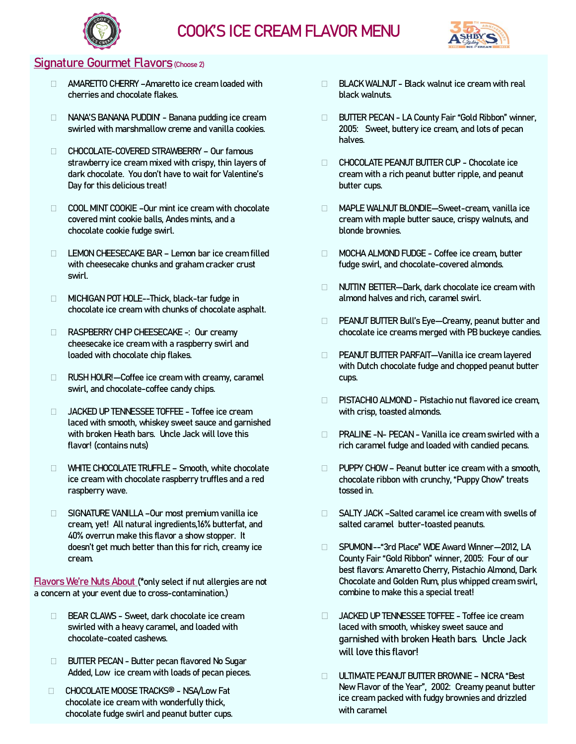



### Signature Gourmet Flavors (Choose 2)

- AMARETTO CHERRY –Amaretto ice cream loaded with cherries and chocolate flakes.
- NANA'S BANANA PUDDIN' Banana pudding ice cream swirled with marshmallow creme and vanilla cookies.
- CHOCOLATE-COVERED STRAWBERRY Our famous strawberry ice cream mixed with crispy, thin layers of dark chocolate. You don't have to wait for Valentine's Day for this delicious treat!
- COOL MINT COOKIE -Our mint ice cream with chocolate covered mint cookie balls, Andes mints, and a chocolate cookie fudge swirl.
- LEMON CHEESECAKE BAR Lemon bar ice cream filled with cheesecake chunks and graham cracker crust swirl.
- □ MICHIGAN POT HOLE--Thick, black-tar fudge in chocolate ice cream with chunks of chocolate asphalt.
- RASPBERRY CHIP CHEESECAKE -: Our creamy cheesecake ice cream with a raspberry swirl and loaded with chocolate chip flakes.
- □ RUSH HOUR!—Coffee ice cream with creamy, caramel swirl, and chocolate-coffee candy chips.
- JACKED UP TENNESSEE TOFFEE Toffee ice cream laced with smooth, whiskey sweet sauce and garnished with broken Heath bars. Uncle Jack will love this flavor! (contains nuts)
- WHITE CHOCOLATE TRUFFLE Smooth, white chocolate ice cream with chocolate raspberry truffles and a red raspberry wave.
- □ SIGNATURE VANILLA –Our most premium vanilla ice cream, yet! All natural ingredients,16% butterfat, and 40% overrun make this flavor a show stopper. It doesn't get much better than this for rich, creamy ice cream.

Flavors We're Nuts About (\*only select if nut allergies are not a concern at your event due to cross-contamination.)

- □ BEAR CLAWS Sweet, dark chocolate ice cream swirled with a heavy caramel, and loaded with chocolate-coated cashews.
- **BUTTER PECAN Butter pecan flavored No Sugar** Added, Low ice cream with loads of pecan pieces.
- chocolate ice cream with wonderfully thick, chocolate fudge swirl and peanut butter cups.
- $\Box$  BLACK WALNUT Black walnut ice cream with real black walnuts.
- BUTTER PECAN LA County Fair "Gold Ribbon" winner, 2005: Sweet, buttery ice cream, and lots of pecan halves.
- CHOCOLATE PEANUT BUTTER CUP Chocolate ice cream with a rich peanut butter ripple, and peanut butter cups.
- MAPLE WALNUT BLONDIE—Sweet-cream, vanilla ice cream with maple butter sauce, crispy walnuts, and blonde brownies.
- □ MOCHA ALMOND FUDGE Coffee ice cream, butter fudge swirl, and chocolate-covered almonds.
- NUTTIN' BETTER—Dark, dark chocolate ice cream with almond halves and rich, caramel swirl.
- D PEANUT BUTTER Bull's Eye-Creamy, peanut butter and chocolate ice creams merged with PB buckeye candies.
- PEANUT BUTTER PARFAIT—Vanilla ice cream layered with Dutch chocolate fudge and chopped peanut butter cups.
- $\Box$  PISTACHIO ALMOND Pistachio nut flavored ice cream. with crisp, toasted almonds.
- □ PRALINE -N- PECAN Vanilla ice cream swirled with a rich caramel fudge and loaded with candied pecans.
- $\Box$  PUPPY CHOW Peanut butter ice cream with a smooth, chocolate ribbon with crunchy, "Puppy Chow" treats tossed in.
- SALTY JACK –Salted caramel ice cream with swells of salted caramel butter-toasted peanuts.
- SPUMONI--"3rd Place" WDE Award Winner—2012, LA County Fair "Gold Ribbon" winner, 2005: Four of our best flavors: Amaretto Cherry, Pistachio Almond, Dark Chocolate and Golden Rum, plus whipped cream swirl, combine to make this a special treat!
- JACKED UP TENNESSEE TOFFEE Toffee ice cream laced with smooth, whiskey sweet sauce and garnished with broken Heath bars. Uncle Jack will love this flavor!
- ULTIMATE PEANUT BUTTER BROWNIE NICRA "Best New Flavor of the Year", 2002: Creamy peanut butter CHOCOLATE MOOSE TRACKS® - NSA/Low Fat ice cream packed with fudgy brownies and drizzled with caramel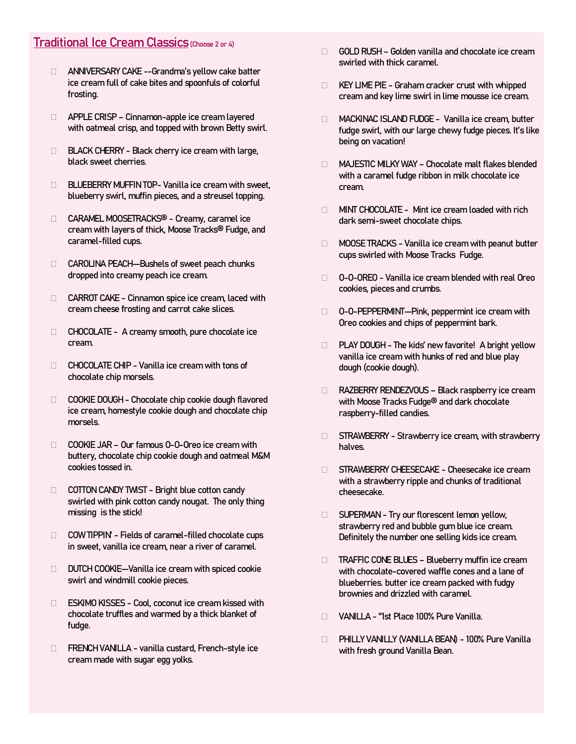# Traditional Ice Cream Classics (Choose 2 or 4)

- ANNIVERSARY CAKE --Grandma's yellow cake batter ice cream full of cake bites and spoonfuls of colorful frosting.
- □ APPLE CRISP Cinnamon-apple ice cream layered with oatmeal crisp, and topped with brown Betty swirl.
- $\Box$  BLACK CHERRY Black cherry ice cream with large, black sweet cherries.
- **BLUEBERRY MUFFIN TOP- Vanilla ice cream with sweet,** blueberry swirl, muffin pieces, and a streusel topping.
- □ CARAMEL MOOSETRACKS® Creamy, caramel ice cream with layers of thick, Moose Tracks® Fudge, and caramel-filled cups.
- CAROLINA PEACH—Bushels of sweet peach chunks dropped into creamy peach ice cream.
- CARROT CAKE Cinnamon spice ice cream, laced with cream cheese frosting and carrot cake slices.
- CHOCOLATE A creamy smooth, pure chocolate ice cream.
- $\Box$  CHOCOLATE CHIP Vanilla ice cream with tons of chocolate chip morsels.
- COOKIE DOUGH Chocolate chip cookie dough flavored ice cream, homestyle cookie dough and chocolate chip morsels.
- COOKIE JAR Our famous O-O-Oreo ice cream with buttery, chocolate chip cookie dough and oatmeal M&M cookies tossed in.
- COTTON CANDY TWIST Bright blue cotton candy swirled with pink cotton candy nougat. The only thing missing is the stick!
- $\Box$  COW TIPPIN' Fields of caramel-filled chocolate cups in sweet, vanilla ice cream, near a river of caramel.
- DUTCH COOKIE—Vanilla ice cream with spiced cookie swirl and windmill cookie pieces.
- □ ESKIMO KISSES Cool, coconut ice cream kissed with chocolate truffles and warmed by a thick blanket of fudge.
- □ FRENCH VANILLA vanilla custard, French-style ice cream made with sugar egg yolks.
- $\Box$  GOLD RUSH Golden vanilla and chocolate ice cream swirled with thick caramel.
- $\Box$  KEY LIME PIE Graham cracker crust with whipped cream and key lime swirl in lime mousse ice cream.
- MACKINAC ISLAND FUDGE Vanilla ice cream, butter fudge swirl, with our large chewy fudge pieces. It's like being on vacation!
- MAJESTIC MILKY WAY Chocolate malt flakes blended with a caramel fudge ribbon in milk chocolate ice cream.
- $\Box$  MINT CHOCOLATE Mint ice cream loaded with rich dark semi-sweet chocolate chips.
- **MOOSE TRACKS Vanilla ice cream with peanut butter** cups swirled with Moose Tracks Fudge.
- □ 0-0-OREO Vanilla ice cream blended with real Oreo cookies, pieces and crumbs.
- □ 0-0-PEPPERMINT—Pink, peppermint ice cream with Oreo cookies and chips of peppermint bark.
- D PLAY DOUGH The kids' new favorite! A bright yellow vanilla ice cream with hunks of red and blue play dough (cookie dough).
- □ RAZBERRY RENDEZVOUS Black raspberry ice cream with Moose Tracks Fudge® and dark chocolate raspberry-filled candies.
- $\Box$  STRAWBERRY Strawberry ice cream, with strawberry halves.
- □ STRAWBERRY CHEESECAKE Cheesecake ice cream with a strawberry ripple and chunks of traditional cheesecake.
- □ SUPERMAN Try our florescent lemon yellow, strawberry red and bubble gum blue ice cream. Definitely the number one selling kids ice cream.
- □ TRAFFIC CONE BLUES Blueberry muffin ice cream with chocolate-covered waffle cones and a lane of blueberries. butter ice cream packed with fudgy brownies and drizzled with caramel.
- VANILLA "1st Place 100% Pure Vanilla.
- PHILLY VANILLY (VANILLA BEAN) 100% Pure Vanilla with fresh ground Vanilla Bean.